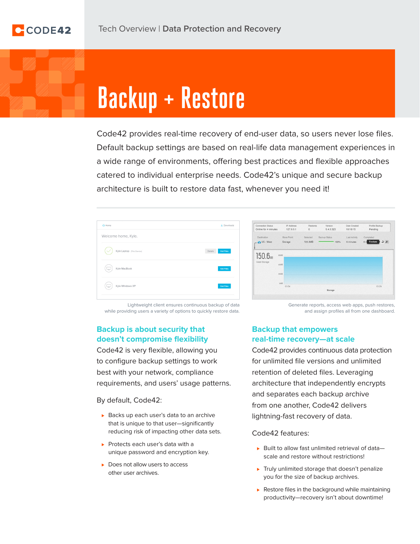# **Backup + Restore**

Code42 provides real-time recovery of end-user data, so users never lose files. Default backup settings are based on real-life data management experiences in a wide range of environments, offering best practices and flexible approaches catered to individual enterprise needs. Code42's unique and secure backup architecture is built to restore data fast, whenever you need it!

| $\triangle$ Home                  |         | $\pm$ Downloads  |
|-----------------------------------|---------|------------------|
| Welcome home, Kyle.               |         |                  |
| Kyle Laptop (This Device)         | Details | <b>Get Files</b> |
| Kyle MacBook<br>$\overline{1}$    |         | <b>Get Files</b> |
| Kyle Windows XP<br>$\overline{1}$ |         | <b>Get Files</b> |
|                                   |         |                  |

| <b>Connection Status</b><br>Online for 4 minutes. | IP Address<br>127.0.0.1 | Restores<br>$\Omega$ | Version<br>5.4.0.323 | Date Created<br>10/18/15 | Profile Backup<br>Pending         |
|---------------------------------------------------|-------------------------|----------------------|----------------------|--------------------------|-----------------------------------|
| Destination                                       | Store Point             | Selected             | Backup Status        | Last Activity            | Completed                         |
| US - West                                         | Storage                 | 725.3MB              | 100%                 | 6 minutes                | $\mathcal{A}$ C<br>Restore<br>6 m |
| Used Storage                                      | 40MB                    |                      |                      |                          |                                   |

Lightweight client ensures continuous backup of data while providing users a variety of options to quickly restore data.

## **Backup is about security that doesn't compromise flexibility**

Code42 is very flexible, allowing you to configure backup settings to work best with your network, compliance requirements, and users' usage patterns.

By default, Code42:

- ► Backs up each user's data to an archive that is unique to that user—significantly reducing risk of impacting other data sets.
- ► Protects each user's data with a unique password and encryption key.
- ► Does not allow users to access other user archives.

Generate reports, access web apps, push restores, and assign profiles all from one dashboard.

#### **Backup that empowers real-time recovery—at scale**

Code42 provides continuous data protection for unlimited file versions and unlimited retention of deleted files. Leveraging architecture that independently encrypts and separates each backup archive from one another, Code42 delivers lightning-fast recovery of data.

Code42 features:

- ► Built to allow fast unlimited retrieval of data– scale and restore without restrictions!
- ▶ Truly unlimited storage that doesn't penalize you for the size of backup archives.
- ► Restore files in the background while maintaining productivity—recovery isn't about downtime!